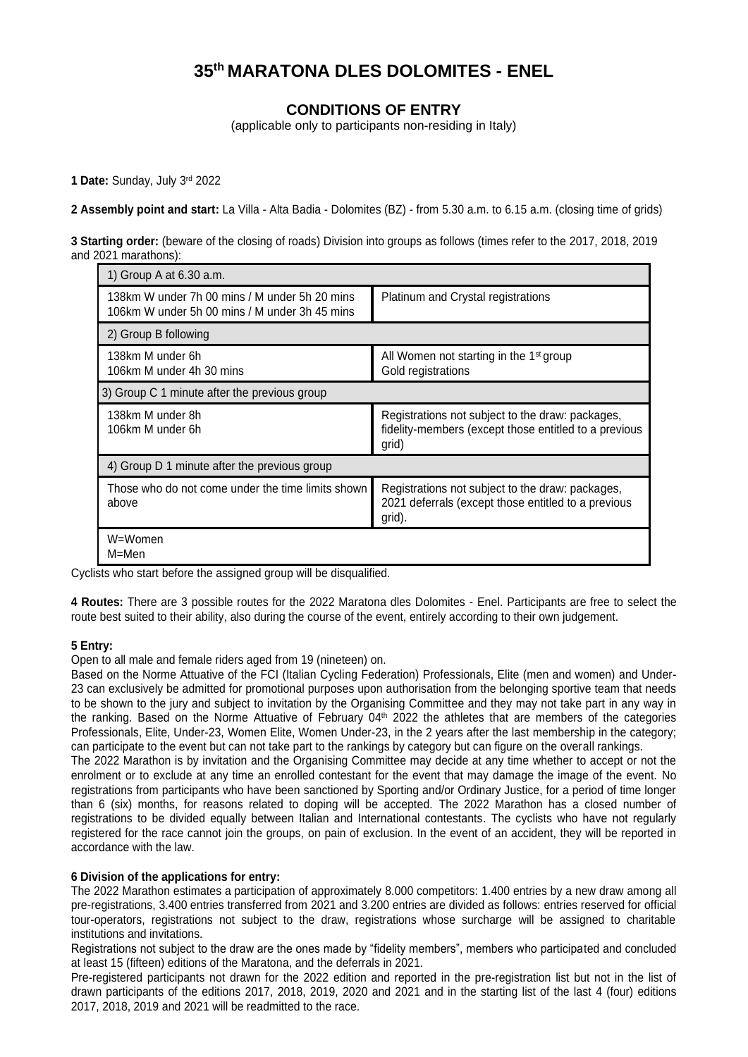# **35 th MARATONA DLES DOLOMITES - ENEL**

# **CONDITIONS OF ENTRY**

(applicable only to participants non-residing in Italy)

**1 Date:** Sunday, July 3 rd 2022

**2 Assembly point and start:** La Villa - Alta Badia - Dolomites (BZ) - from 5.30 a.m. to 6.15 a.m. (closing time of grids)

**3 Starting order:** (beware of the closing of roads) Division into groups as follows (times refer to the 2017, 2018, 2019 and 2021 marathons):

| 1) Group A at 6.30 a.m.                                                                        |                                                                                                                    |  |  |
|------------------------------------------------------------------------------------------------|--------------------------------------------------------------------------------------------------------------------|--|--|
| 138km W under 7h 00 mins / M under 5h 20 mins<br>106km W under 5h 00 mins / M under 3h 45 mins | Platinum and Crystal registrations                                                                                 |  |  |
| 2) Group B following                                                                           |                                                                                                                    |  |  |
| 138km M under 6h<br>106km M under 4h 30 mins                                                   | All Women not starting in the 1 <sup>st</sup> group<br>Gold registrations                                          |  |  |
| 3) Group C 1 minute after the previous group                                                   |                                                                                                                    |  |  |
| 138km M under 8h<br>106km M under 6h                                                           | Registrations not subject to the draw: packages,<br>fidelity-members (except those entitled to a previous<br>grid) |  |  |
| 4) Group D 1 minute after the previous group                                                   |                                                                                                                    |  |  |
| Those who do not come under the time limits shown<br>above                                     | Registrations not subject to the draw: packages,<br>2021 deferrals (except those entitled to a previous<br>grid).  |  |  |
| W=Women<br>M=Men                                                                               |                                                                                                                    |  |  |

Cyclists who start before the assigned group will be disqualified.

**4 Routes:** There are 3 possible routes for the 2022 Maratona dles Dolomites - Enel. Participants are free to select the route best suited to their ability, also during the course of the event, entirely according to their own judgement.

# **5 Entry:**

Open to all male and female riders aged from 19 (nineteen) on.

Based on the Norme Attuative of the FCI (Italian Cycling Federation) Professionals, Elite (men and women) and Under-23 can exclusively be admitted for promotional purposes upon authorisation from the belonging sportive team that needs to be shown to the jury and subject to invitation by the Organising Committee and they may not take part in any way in the ranking. Based on the Norme Attuative of February 04<sup>th</sup> 2022 the athletes that are members of the categories Professionals, Elite, Under-23, Women Elite, Women Under-23, in the 2 years after the last membership in the category; can participate to the event but can not take part to the rankings by category but can figure on the overall rankings.

The 2022 Marathon is by invitation and the Organising Committee may decide at any time whether to accept or not the enrolment or to exclude at any time an enrolled contestant for the event that may damage the image of the event. No registrations from participants who have been sanctioned by Sporting and/or Ordinary Justice, for a period of time longer than 6 (six) months, for reasons related to doping will be accepted. The 2022 Marathon has a closed number of registrations to be divided equally between Italian and International contestants. The cyclists who have not regularly registered for the race cannot join the groups, on pain of exclusion. In the event of an accident, they will be reported in accordance with the law.

# **6 Division of the applications for entry:**

The 2022 Marathon estimates a participation of approximately 8.000 competitors: 1.400 entries by a new draw among all pre-registrations, 3.400 entries transferred from 2021 and 3.200 entries are divided as follows: entries reserved for official tour-operators, registrations not subject to the draw, registrations whose surcharge will be assigned to charitable institutions and invitations.

Registrations not subject to the draw are the ones made by "fidelity members", members who participated and concluded at least 15 (fifteen) editions of the Maratona, and the deferrals in 2021.

Pre-registered participants not drawn for the 2022 edition and reported in the pre-registration list but not in the list of drawn participants of the editions 2017, 2018, 2019, 2020 and 2021 and in the starting list of the last 4 (four) editions 2017, 2018, 2019 and 2021 will be readmitted to the race.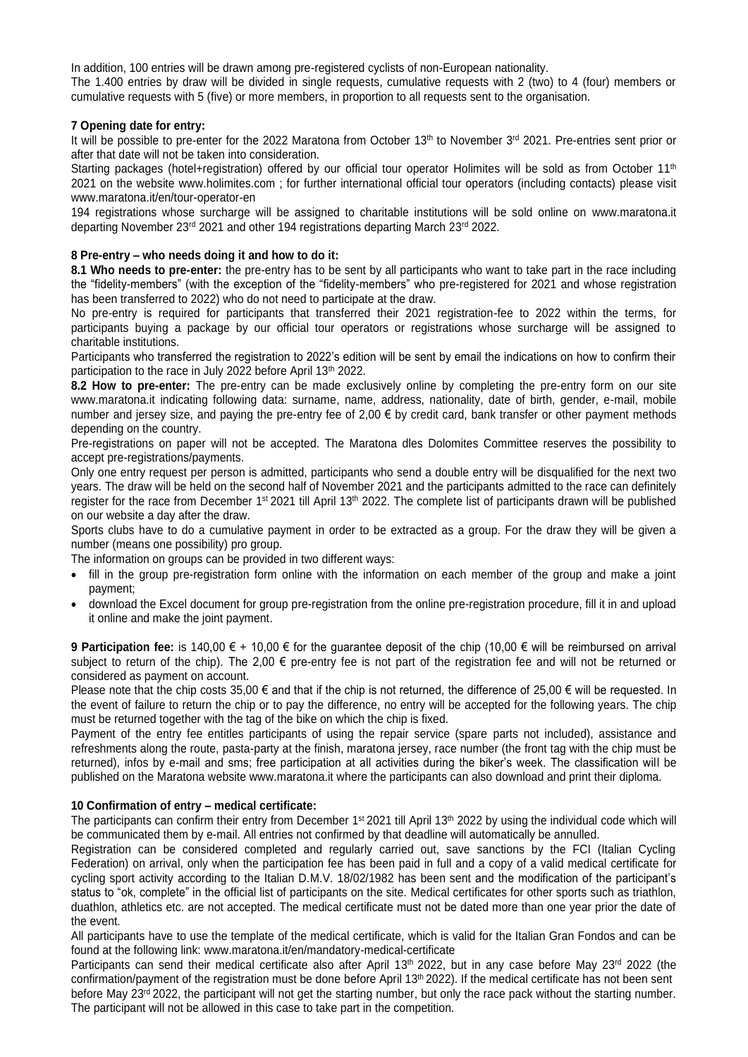In addition, 100 entries will be drawn among pre-registered cyclists of non-European nationality.

The 1.400 entries by draw will be divided in single requests, cumulative requests with 2 (two) to 4 (four) members or cumulative requests with 5 (five) or more members, in proportion to all requests sent to the organisation.

#### **7 Opening date for entry:**

It will be possible to pre-enter for the 2022 Maratona from October 13<sup>th</sup> to November 3<sup>rd</sup> 2021. Pre-entries sent prior or after that date will not be taken into consideration.

Starting packages (hotel+registration) offered by our official tour operator Holimites will be sold as from October 11<sup>th</sup> 2021 on the website [www.holimites.com](http://www.holimites.com/) ; for further international official tour operators (including contacts) please visit [www.maratona.it/en/tour-operator-en](http://www.maratona.it/en/tour-operator-en)

194 registrations whose surcharge will be assigned to charitable institutions will be sold online on [www.maratona.it](http://www.maratona.it/) departing November 23<sup>rd</sup> 2021 and other 194 registrations departing March 23<sup>rd</sup> 2022.

#### **8 Pre-entry – who needs doing it and how to do it:**

**8.1 Who needs to pre-enter:** the pre-entry has to be sent by all participants who want to take part in the race including the "fidelity-members" (with the exception of the "fidelity-members" who pre-registered for 2021 and whose registration has been transferred to 2022) who do not need to participate at the draw.

No pre-entry is required for participants that transferred their 2021 registration-fee to 2022 within the terms, for participants buying a package by our official tour operators or registrations whose surcharge will be assigned to charitable institutions.

Participants who transferred the registration to 2022's edition will be sent by email the indications on how to confirm their participation to the race in July 2022 before April 13<sup>th</sup> 2022.

**8.2 How to pre-enter:** The pre-entry can be made exclusively online by completing the pre-entry form on our site [www.maratona.it](http://www.maratona.it/) indicating following data: surname, name, address, nationality, date of birth, gender, e-mail, mobile number and jersey size, and paying the pre-entry fee of  $2,00 \in$  by credit card, bank transfer or other payment methods depending on the country.

Pre-registrations on paper will not be accepted. The Maratona dles Dolomites Committee reserves the possibility to accept pre-registrations/payments.

Only one entry request per person is admitted, participants who send a double entry will be disqualified for the next two years. The draw will be held on the second half of November 2021 and the participants admitted to the race can definitely register for the race from December 1<sup>st</sup> 2021 till April 13<sup>th</sup> 2022. The complete list of participants drawn will be published on our website a day after the draw.

Sports clubs have to do a cumulative payment in order to be extracted as a group. For the draw they will be given a number (means one possibility) pro group.

The information on groups can be provided in two different ways:

- fill in the group pre-registration form online with the information on each member of the group and make a joint payment;
- download the Excel document for group pre-registration from the online pre-registration procedure, fill it in and upload it online and make the joint payment.

**9 Participation fee:** is 140,00 € + 10,00 € for the guarantee deposit of the chip (10,00 € will be reimbursed on arrival subject to return of the chip). The 2,00 € pre-entry fee is not part of the registration fee and will not be returned or considered as payment on account.

Please note that the chip costs  $35,00 \in \text{and}$  that if the chip is not returned, the difference of 25,00  $\in$  will be requested. In the event of failure to return the chip or to pay the difference, no entry will be accepted for the following years. The chip must be returned together with the tag of the bike on which the chip is fixed.

Payment of the entry fee entitles participants of using the repair service (spare parts not included), assistance and refreshments along the route, pasta-party at the finish, maratona jersey, race number (the front tag with the chip must be returned), infos by e-mail and sms; free participation at all activities during the biker's week. The classification will be published on the Maratona website [www.maratona.it](http://www.maratona.it/) where the participants can also download and print their diploma.

# **10 Confirmation of entry – medical certificate:**

The participants can confirm their entry from December 1<sup>st</sup> 2021 till April 13<sup>th</sup> 2022 by using the individual code which will be communicated them by e-mail. All entries not confirmed by that deadline will automatically be annulled.

Registration can be considered completed and regularly carried out, save sanctions by the FCI (Italian Cycling Federation) on arrival, only when the participation fee has been paid in full and a copy of a valid medical certificate for cycling sport activity according to the Italian D.M.V. 18/02/1982 has been sent and the modification of the participant's status to "ok, complete" in the official list of participants on the site. Medical certificates for other sports such as triathlon, duathlon, athletics etc. are not accepted. The medical certificate must not be dated more than one year prior the date of the event.

All participants have to use the template of the medical certificate, which is valid for the Italian Gran Fondos and can be found at the following link: [www.maratona.it/en/mandatory-medical-certificate](http://www.maratona.it/en/mandatory-medical-certificate)

Participants can send their medical certificate also after April 13<sup>th</sup> 2022, but in any case before May 23<sup>rd</sup> 2022 (the confirmation/payment of the registration must be done before April 13th 2022). If the medical certificate has not been sent before May 23<sup>rd</sup> 2022, the participant will not get the starting number, but only the race pack without the starting number. The participant will not be allowed in this case to take part in the competition.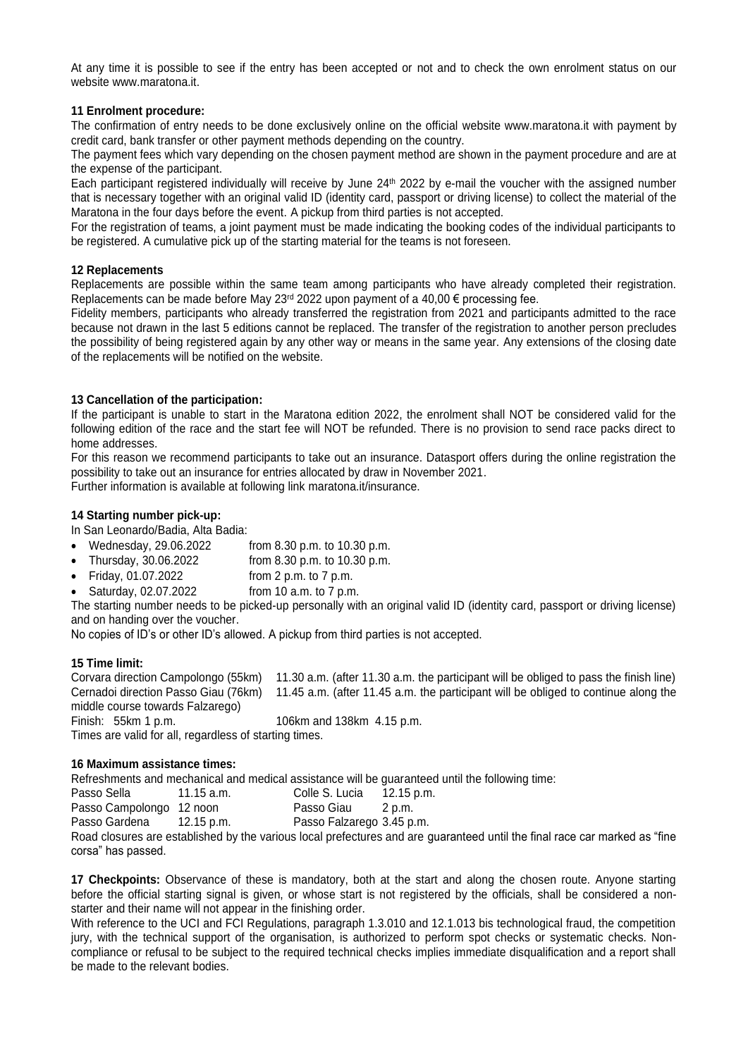At any time it is possible to see if the entry has been accepted or not and to check the own enrolment status on our website www.maratona.it

#### **11 Enrolment procedure:**

The confirmation of entry needs to be done exclusively online on the official website [www.maratona.it](http://www.maratona.it/) with payment by credit card, bank transfer or other payment methods depending on the country.

The payment fees which vary depending on the chosen payment method are shown in the payment procedure and are at the expense of the participant.

Each participant registered individually will receive by June 24<sup>th</sup> 2022 by e-mail the voucher with the assigned number that is necessary together with an original valid ID (identity card, passport or driving license) to collect the material of the Maratona in the four days before the event. A pickup from third parties is not accepted.

For the registration of teams, a joint payment must be made indicating the booking codes of the individual participants to be registered. A cumulative pick up of the starting material for the teams is not foreseen.

#### **12 Replacements**

Replacements are possible within the same team among participants who have already completed their registration. Replacements can be made before May 23<sup>rd</sup> 2022 upon payment of a 40,00 € processing fee.

Fidelity members, participants who already transferred the registration from 2021 and participants admitted to the race because not drawn in the last 5 editions cannot be replaced. The transfer of the registration to another person precludes the possibility of being registered again by any other way or means in the same year. Any extensions of the closing date of the replacements will be notified on the website.

#### **13 Cancellation of the participation:**

If the participant is unable to start in the Maratona edition 2022, the enrolment shall NOT be considered valid for the following edition of the race and the start fee will NOT be refunded. There is no provision to send race packs direct to home addresses.

For this reason we recommend participants to take out an insurance. Datasport offers during the online registration the possibility to take out an insurance for entries allocated by draw in November 2021.

Further information is available at following link [maratona.it/insurance.](http://maratona.it/insurance)

#### **14 Starting number pick-up:**

In San Leonardo/Badia, Alta Badia:

- Wednesday, 29.06.2022 from 8.30 p.m. to 10.30 p.m.
- Thursday, 30.06.2022 from 8.30 p.m. to 10.30 p.m.
- Friday, 01.07.2022 from 2 p.m. to 7 p.m.
- Saturday, 02.07.2022 from 10 a.m. to 7 p.m.

The starting number needs to be picked-up personally with an original valid ID (identity card, passport or driving license) and on handing over the voucher.

No copies of ID's or other ID's allowed. A pickup from third parties is not accepted.

#### **15 Time limit:**

Corvara direction Campolongo (55km) 11.30 a.m. (after 11.30 a.m. the participant will be obliged to pass the finish line) Cernadoi direction Passo Giau (76km) 11.45 a.m. (after 11.45 a.m. the participant will be obliged to continue along the middle course towards Falzarego) Finish: 55km 1 p.m. 106km and 138km 4.15 p.m. Times are valid for all, regardless of starting times.

#### **16 Maximum assistance times:**

Refreshments and mechanical and medical assistance will be guaranteed until the following time:

| Passo Sella              | $11.15$ a.m. | Colle S. Lucia            | 12.15 p.m. |
|--------------------------|--------------|---------------------------|------------|
| Passo Campolongo 12 noon |              | Passo Giau                | 2 p.m.     |
| Passo Gardena            | 12.15 p.m.   | Passo Falzarego 3.45 p.m. |            |
|                          |              |                           |            |

Road closures are established by the various local prefectures and are guaranteed until the final race car marked as "fine corsa" has passed.

**17 Checkpoints:** Observance of these is mandatory, both at the start and along the chosen route. Anyone starting before the official starting signal is given, or whose start is not registered by the officials, shall be considered a nonstarter and their name will not appear in the finishing order.

With reference to the UCI and FCI Regulations, paragraph 1.3.010 and 12.1.013 bis technological fraud, the competition jury, with the technical support of the organisation, is authorized to perform spot checks or systematic checks. Noncompliance or refusal to be subject to the required technical checks implies immediate disqualification and a report shall be made to the relevant bodies.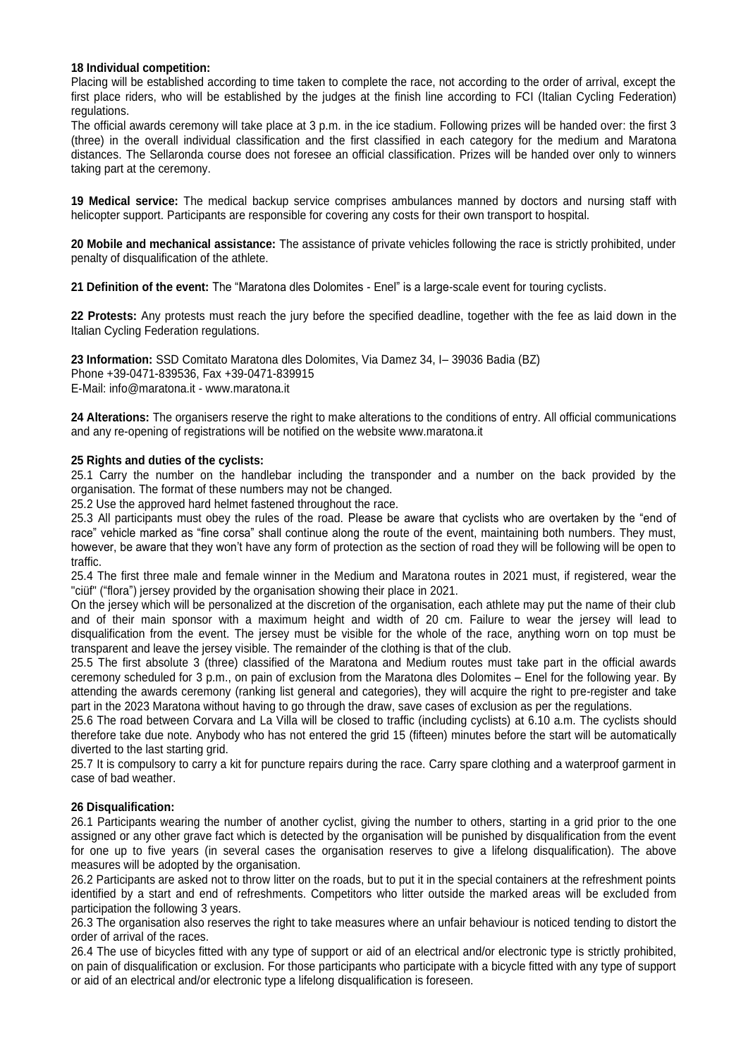#### **18 Individual competition:**

Placing will be established according to time taken to complete the race, not according to the order of arrival, except the first place riders, who will be established by the judges at the finish line according to FCI (Italian Cycling Federation) regulations.

The official awards ceremony will take place at 3 p.m. in the ice stadium. Following prizes will be handed over: the first 3 (three) in the overall individual classification and the first classified in each category for the medium and Maratona distances. The Sellaronda course does not foresee an official classification. Prizes will be handed over only to winners taking part at the ceremony.

**19 Medical service:** The medical backup service comprises ambulances manned by doctors and nursing staff with helicopter support. Participants are responsible for covering any costs for their own transport to hospital.

**20 Mobile and mechanical assistance:** The assistance of private vehicles following the race is strictly prohibited, under penalty of disqualification of the athlete.

**21 Definition of the event:** The "Maratona dles Dolomites - Enel" is a large-scale event for touring cyclists.

**22 Protests:** Any protests must reach the jury before the specified deadline, together with the fee as laid down in the Italian Cycling Federation regulations.

**23 Information:** SSD Comitato Maratona dles Dolomites, Via Damez 34, I– 39036 Badia (BZ) Phone +39-0471-839536, Fax +39-0471-839915 E-Mail: info@maratona.it - www.maratona.it

**24 Alterations:** The organisers reserve the right to make alterations to the conditions of entry. All official communications and any re-opening of registrations will be notified on the websit[e www.maratona.it](http://www.maratona.it/)

#### **25 Rights and duties of the cyclists:**

25.1 Carry the number on the handlebar including the transponder and a number on the back provided by the organisation. The format of these numbers may not be changed.

25.2 Use the approved hard helmet fastened throughout the race.

25.3 All participants must obey the rules of the road. Please be aware that cyclists who are overtaken by the "end of race" vehicle marked as "fine corsa" shall continue along the route of the event, maintaining both numbers. They must, however, be aware that they won't have any form of protection as the section of road they will be following will be open to traffic.

25.4 The first three male and female winner in the Medium and Maratona routes in 2021 must, if registered, wear the "ciüf" ("flora") jersey provided by the organisation showing their place in 2021.

On the jersey which will be personalized at the discretion of the organisation, each athlete may put the name of their club and of their main sponsor with a maximum height and width of 20 cm. Failure to wear the jersey will lead to disqualification from the event. The jersey must be visible for the whole of the race, anything worn on top must be transparent and leave the jersey visible. The remainder of the clothing is that of the club.

25.5 The first absolute 3 (three) classified of the Maratona and Medium routes must take part in the official awards ceremony scheduled for 3 p.m., on pain of exclusion from the Maratona dles Dolomites – Enel for the following year. By attending the awards ceremony (ranking list general and categories), they will acquire the right to pre-register and take part in the 2023 Maratona without having to go through the draw, save cases of exclusion as per the regulations.

25.6 The road between Corvara and La Villa will be closed to traffic (including cyclists) at 6.10 a.m. The cyclists should therefore take due note. Anybody who has not entered the grid 15 (fifteen) minutes before the start will be automatically diverted to the last starting grid.

25.7 It is compulsory to carry a kit for puncture repairs during the race. Carry spare clothing and a waterproof garment in case of bad weather.

# **26 Disqualification:**

26.1 Participants wearing the number of another cyclist, giving the number to others, starting in a grid prior to the one assigned or any other grave fact which is detected by the organisation will be punished by disqualification from the event for one up to five years (in several cases the organisation reserves to give a lifelong disqualification). The above measures will be adopted by the organisation.

26.2 Participants are asked not to throw litter on the roads, but to put it in the special containers at the refreshment points identified by a start and end of refreshments. Competitors who litter outside the marked areas will be excluded from participation the following 3 years.

26.3 The organisation also reserves the right to take measures where an unfair behaviour is noticed tending to distort the order of arrival of the races.

26.4 The use of bicycles fitted with any type of support or aid of an electrical and/or electronic type is strictly prohibited, on pain of disqualification or exclusion. For those participants who participate with a bicycle fitted with any type of support or aid of an electrical and/or electronic type a lifelong disqualification is foreseen.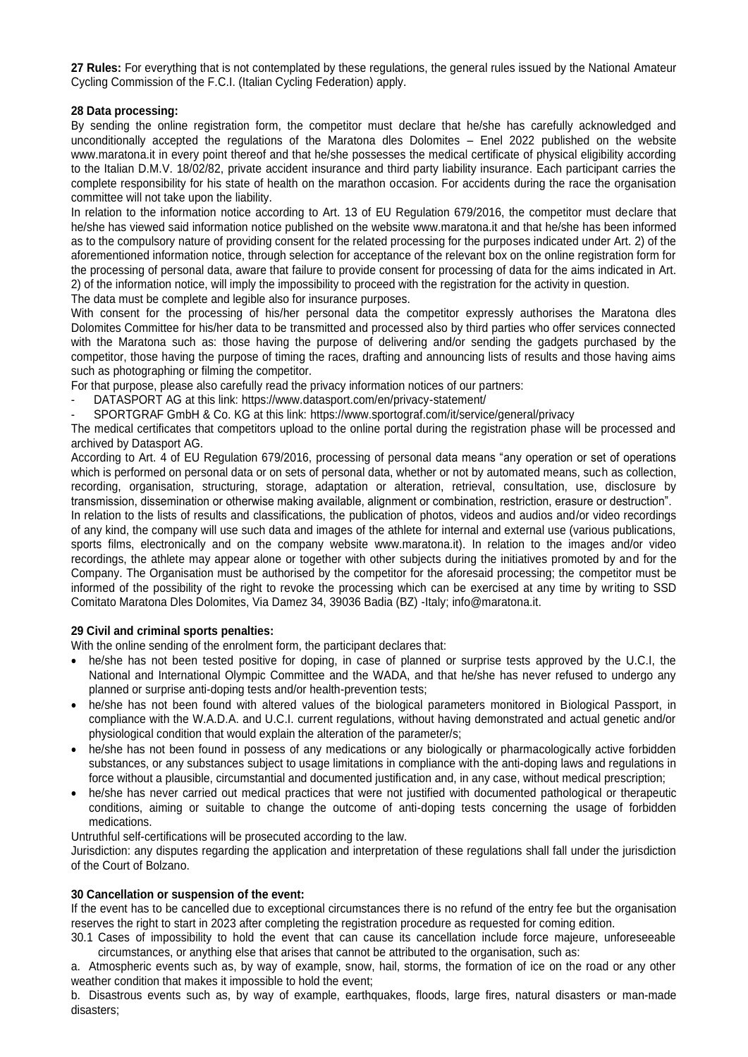**27 Rules:** For everything that is not contemplated by these regulations, the general rules issued by the National Amateur Cycling Commission of the F.C.I. (Italian Cycling Federation) apply.

### **28 Data processing:**

By sending the online registration form, the competitor must declare that he/she has carefully acknowledged and unconditionally accepted the regulations of the Maratona dles Dolomites – Enel 2022 published on the website [www.maratona.it](http://www.maratona.it/) in every point thereof and that he/she possesses the medical certificate of physical eligibility according to the Italian D.M.V. 18/02/82, private accident insurance and third party liability insurance. Each participant carries the complete responsibility for his state of health on the marathon occasion. For accidents during the race the organisation committee will not take upon the liability.

In relation to the information notice according to Art. 13 of EU Regulation 679/2016, the competitor must declare that he/she has viewed said information notice published on the website [www.maratona.it](http://www.maratona.it/) and that he/she has been informed as to the compulsory nature of providing consent for the related processing for the purposes indicated under Art. 2) of the aforementioned information notice, through selection for acceptance of the relevant box on the online registration form for the processing of personal data, aware that failure to provide consent for processing of data for the aims indicated in Art. 2) of the information notice, will imply the impossibility to proceed with the registration for the activity in question. The data must be complete and legible also for insurance purposes.

With consent for the processing of his/her personal data the competitor expressly authorises the Maratona dles Dolomites Committee for his/her data to be transmitted and processed also by third parties who offer services connected with the Maratona such as: those having the purpose of delivering and/or sending the gadgets purchased by the competitor, those having the purpose of timing the races, drafting and announcing lists of results and those having aims such as photographing or filming the competitor.

For that purpose, please also carefully read the privacy information notices of our partners:

DATASPORT AG at this link: https://www.datasport.com/en/privacy-statement/

- SPORTGRAF GmbH & Co. KG at this link:<https://www.sportograf.com/it/service/general/privacy>

The medical certificates that competitors upload to the online portal during the registration phase will be processed and archived by Datasport AG.

According to Art. 4 of EU Regulation 679/2016, processing of personal data means "any operation or set of operations which is performed on personal data or on sets of personal data, whether or not by automated means, such as collection, recording, organisation, structuring, storage, adaptation or alteration, retrieval, consultation, use, disclosure by transmission, dissemination or otherwise making available, alignment or combination, restriction, erasure or destruction". In relation to the lists of results and classifications, the publication of photos, videos and audios and/or video recordings of any kind, the company will use such data and images of the athlete for internal and external use (various publications, sports films, electronically and on the company website [www.maratona.it\)](http://www.maratona.it/). In relation to the images and/or video recordings, the athlete may appear alone or together with other subjects during the initiatives promoted by and for the Company. The Organisation must be authorised by the competitor for the aforesaid processing; the competitor must be informed of the possibility of the right to revoke the processing which can be exercised at any time by writing to SSD Comitato Maratona Dles Dolomites, Via Damez 34, 39036 Badia (BZ) -Italy; [info@maratona.it.](mailto:info@maratona.it)

# **29 Civil and criminal sports penalties:**

With the online sending of the enrolment form, the participant declares that:

- he/she has not been tested positive for doping, in case of planned or surprise tests approved by the U.C.I, the National and International Olympic Committee and the WADA, and that he/she has never refused to undergo any planned or surprise anti-doping tests and/or health-prevention tests;
- he/she has not been found with altered values of the biological parameters monitored in Biological Passport, in compliance with the W.A.D.A. and U.C.I. current regulations, without having demonstrated and actual genetic and/or physiological condition that would explain the alteration of the parameter/s;
- he/she has not been found in possess of any medications or any biologically or pharmacologically active forbidden substances, or any substances subject to usage limitations in compliance with the anti-doping laws and regulations in force without a plausible, circumstantial and documented justification and, in any case, without medical prescription;
- he/she has never carried out medical practices that were not justified with documented pathological or therapeutic conditions, aiming or suitable to change the outcome of anti-doping tests concerning the usage of forbidden medications.

Untruthful self-certifications will be prosecuted according to the law.

Jurisdiction: any disputes regarding the application and interpretation of these regulations shall fall under the jurisdiction of the Court of Bolzano.

#### **30 Cancellation or suspension of the event:**

If the event has to be cancelled due to exceptional circumstances there is no refund of the entry fee but the organisation reserves the right to start in 2023 after completing the registration procedure as requested for coming edition.

30.1 Cases of impossibility to hold the event that can cause its cancellation include force majeure, unforeseeable circumstances, or anything else that arises that cannot be attributed to the organisation, such as:

a. Atmospheric events such as, by way of example, snow, hail, storms, the formation of ice on the road or any other weather condition that makes it impossible to hold the event;

b. Disastrous events such as, by way of example, earthquakes, floods, large fires, natural disasters or man-made disasters;